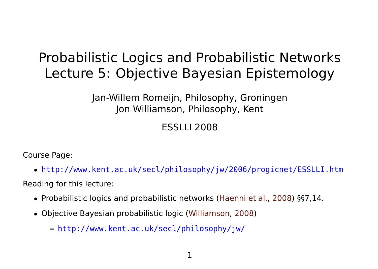# Probabilistic Logics and Probabilistic Networks Lecture 5: Objective Bayesian Epistemology

Jan-Willem Romeijn, Philosophy, Groningen Jon Williamson, Philosophy, Kent

### ESSLLI 2008

Course Page:

<http://www.kent.ac.uk/secl/philosophy/jw/2006/progicnet/ESSLLI.htm>

Reading for this lecture:

- Probabilistic logics and probabilistic networks [\(Haenni et al.,](#page-41-0) [2008\)](#page-41-0) §§7,14.
- Objective Bayesian probabilistic logic [\(Williamson,](#page-41-1) [2008\)](#page-41-1)
	- **–** <http://www.kent.ac.uk/secl/philosophy/jw/>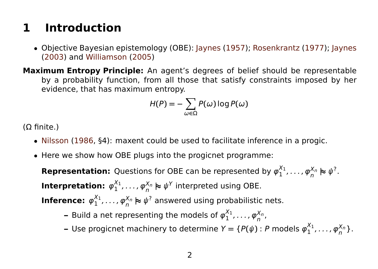## <span id="page-1-0"></span>**1 Introduction**

- Objective Bayesian epistemology (OBE): [Jaynes](#page-41-2) [\(1957\)](#page-41-2); [Rosenkrantz](#page-41-3) [\(1977\)](#page-41-3); [Jaynes](#page-41-4) [\(2003\)](#page-41-4) and [Williamson](#page-41-5) [\(2005\)](#page-41-5)
- **Maximum Entropy Principle:** An agent's degrees of belief should be representable by a probability function, from all those that satisfy constraints imposed by her evidence, that has maximum entropy.

$$
H(P) = -\sum_{\omega \in \Omega} P(\omega) \log P(\omega)
$$

(Ω finite.)

- [Nilsson](#page-41-6) [\(1986,](#page-41-6) §4): maxent could be used to facilitate inference in a progic.
- Here we show how OBE plugs into the progicnet programme:

**Representation:** Questions for OBE can be represented by  $\varphi_1^{X_1}$  $\begin{aligned} \mathcal{X}_1, \ldots, \varphi_n^{X_n} &\approx \psi^2. \end{aligned}$ **Interpretation:**  $\varphi_1^{X_1}$  $\phi_1^{\chi_1}, \ldots, \phi_n^{\chi_n} \approx \psi^{\gamma}$  interpreted using OBE. **Inference:**  $\varphi_1^{X_1}$  $\frac{x_1}{1}, \ldots, \phi_n^{X_n} \approx \psi$ ? answered using probabilistic nets.

- **–** Build a net representing the models of  $\varphi_1^{X_1}$  $\frac{x_1}{1}, \ldots, \varphi_n^{X_n}$ ,
- **–** Use progicnet machinery to determine  $Y = \{P(\psi): P \text{ models } \boldsymbol{\varphi}_1^{X_1}\}$  $\begin{matrix} \chi_1 \\ 1 \end{matrix}$ , ...,  $\varphi_n^{\chi_n}$ .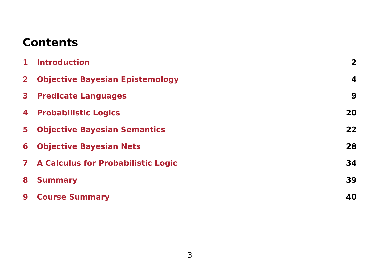### **Contents**

| $\mathbf{1}$ | <b>Introduction</b>                         | $\overline{2}$   |
|--------------|---------------------------------------------|------------------|
|              | 2 Objective Bayesian Epistemology           | $\boldsymbol{4}$ |
|              | <b>3 Predicate Languages</b>                | 9                |
|              | 4 Probabilistic Logics                      | 20               |
|              | <b>5 Objective Bayesian Semantics</b>       | 22               |
|              | <b>6 Objective Bayesian Nets</b>            | 28               |
|              | <b>7 A Calculus for Probabilistic Logic</b> | 34               |
| 8            | <b>Summary</b>                              | 39               |
|              | <b>9 Course Summary</b>                     | 40               |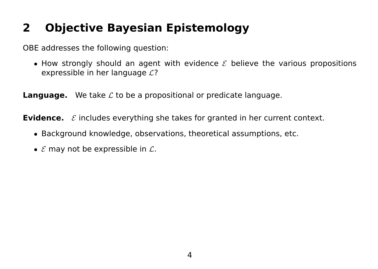# <span id="page-3-0"></span>**2 Objective Bayesian Epistemology**

OBE addresses the following question:

• How strongly should an agent with evidence  $\mathcal E$  believe the various propositions expressible in her language  $\mathcal{L}$ ?

**Language.** We take  $\mathcal{L}$  to be a propositional or predicate language.

**Evidence.**  $\epsilon$  includes everything she takes for granted in her current context.

- Background knowledge, observations, theoretical assumptions, etc.
- $\bullet$   $\mathcal E$  may not be expressible in  $\mathcal L$ .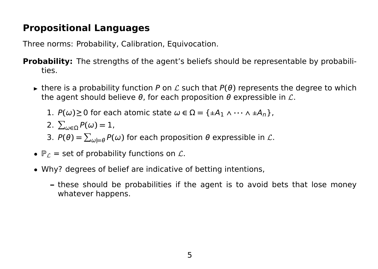### **Propositional Languages**

Three norms: Probability, Calibration, Equivocation.

- **Probability:** The strengths of the agent's beliefs should be representable by probabilities.
	- **E** there is a probability function P on L such that  $P(\theta)$  represents the degree to which the agent should believe  $\theta$ , for each proposition  $\theta$  expressible in  $\mathcal{L}$ .
		- 1.  $P(\omega) \ge 0$  for each atomic state  $\omega \in \Omega = \{\pm A_1 \wedge \cdots \wedge \pm A_n\},\$
		- 2.  $\sum_{\omega \in \Omega} P(\omega) = 1$ ,
		- 3.  $P(\theta) = \sum_{\omega \models \theta} P(\omega)$  for each proposition  $\theta$  expressible in  $\mathcal{L}$ .
	- $\mathbb{P}_{\mathcal{L}}$  = set of probability functions on  $\mathcal{L}$ .
	- Why? degrees of belief are indicative of betting intentions,
		- **–** these should be probabilities if the agent is to avoid bets that lose money whatever happens.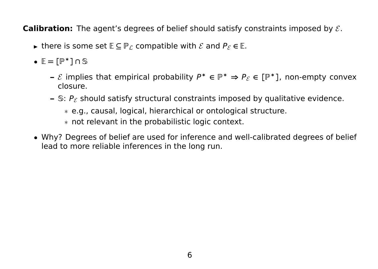**Calibration:** The agent's degrees of belief should satisfy constraints imposed by  $\mathcal{E}$ .

- **E** there is some set  $E \subseteq P_C$  compatible with E and  $P_{\mathcal{E}} \in E$ .
- E **= [**P <sup>∗</sup>**] <sup>∩</sup>** <sup>S</sup>
	- **-**  $\mathcal{E}$  implies that empirical probability  $P^* \in \mathbb{P}^* \Rightarrow P_{\mathcal{E}} \in [\mathbb{P}^*]$ , non-empty convex closure.
	- **–** S:  $P_{\epsilon}$  should satisfy structural constraints imposed by qualitative evidence.
		- \* e.g., causal, logical, hierarchical or ontological structure.
		- $*$  not relevant in the probabilistic logic context.
- Why? Degrees of belief are used for inference and well-calibrated degrees of belief lead to more reliable inferences in the long run.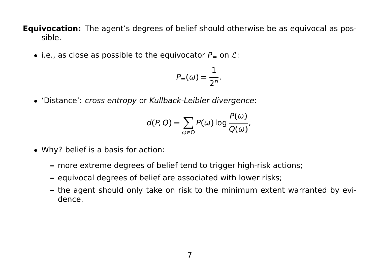- **Equivocation:** The agent's degrees of belief should otherwise be as equivocal as possible.
	- i.e., as close as possible to the equivocator  $P_+$  on  $\mathcal{L}$ :

$$
P_{=}(\omega)=\frac{1}{2^n}.
$$

'Distance': cross entropy or Kullback-Leibler divergence:

$$
d(P,Q) = \sum_{\omega \in \Omega} P(\omega) \log \frac{P(\omega)}{Q(\omega)},
$$

- Why? belief is a basis for action:
	- **–** more extreme degrees of belief tend to trigger high-risk actions;
	- **–** equivocal degrees of belief are associated with lower risks;
	- **–** the agent should only take on risk to the minimum extent warranted by evidence.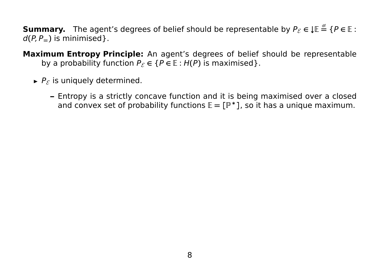**Summary.** The agent's degrees of belief should be representable by  $P_{\mathcal{E}} \in \downarrow \mathbb{E} \stackrel{\text{df}}{=} \{P \in \mathbb{E} :$  $d(P, P_+)$  is minimised }.

- **Maximum Entropy Principle:** An agent's degrees of belief should be representable by a probability function  $P_{\mathcal{E}} \in \{P \in \mathbb{E} : H(P)$  is maximised }.
	- $\blacktriangleright$  *P*<sub> $\epsilon$ </sub> is uniquely determined.
		- **–** Entropy is a strictly concave function and it is being maximised over a closed and convex set of probability functions  $E = [P^*]$ , so it has a unique maximum.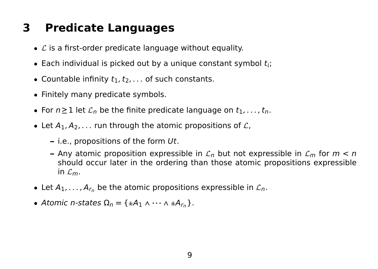## <span id="page-8-0"></span>**3 Predicate Languages**

- $\bullet$   $\mathcal L$  is a first-order predicate language without equality.
- $\bullet$  Each individual is picked out by a unique constant symbol  $t_i$ ;
- Countable infinity  $t_1, t_2, \ldots$  of such constants.
- Finitely many predicate symbols.
- For  $n \geq 1$  let  $\mathcal{L}_n$  be the finite predicate language on  $t_1, \ldots, t_n$ .
- Let  $A_1, A_2, \ldots$  run through the atomic propositions of  $\mathcal{L}$ ,
	- **–** i.e., propositions of the form Ut.
	- **–** Any atomic proposition expressible in  $\mathcal{L}_n$  but not expressible in  $\mathcal{L}_m$  for  $m < n$ should occur later in the ordering than those atomic propositions expressible in  $\mathcal{L}_m$ .
- Let  $A_1, \ldots, A_{r_n}$  be the atomic propositions expressible in  $\mathcal{L}_n$ .
- $\bullet$  Atomic n-states  $\Omega_n = \{\pm A_1 \wedge \cdots \wedge \pm A_{r_n}\}.$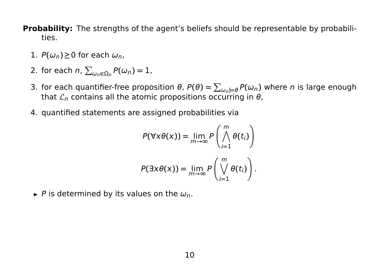- **Probability:** The strengths of the agent's beliefs should be representable by probabilities.
	- 1.  $P(\omega_n) \ge 0$  for each  $\omega_n$ ,
	- 2. for each  $n$ ,  $\sum_{\omega_n \in \Omega_n} P(\omega_n) = 1$ ,
	- 3. for each quantifier-free proposition  $\theta$ ,  $P(\theta) = \sum_{\omega_n \models \theta} P(\omega_n)$  where *n* is large enough that  $\mathcal{L}_n$  contains all the atomic propositions occurring in  $\theta$ ,
	- 4. quantified statements are assigned probabilities via

$$
P(\forall x \theta(x)) = \lim_{m \to \infty} P\left(\bigwedge_{i=1}^{m} \theta(t_i)\right)
$$

$$
P(\exists x \theta(x)) = \lim_{m \to \infty} P\left(\bigvee_{i=1}^{m} \theta(t_i)\right).
$$

**=**1

$$
\blacktriangleright
$$
 P is determined by its values on the  $\omega_n$ .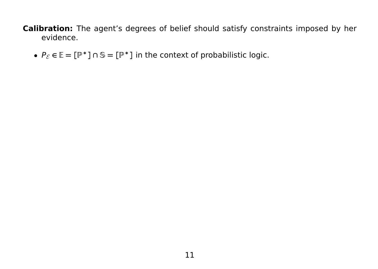- **Calibration:** The agent's degrees of belief should satisfy constraints imposed by her evidence.
	- P<sup>E</sup> **∈** E **= [**P <sup>∗</sup>**] <sup>∩</sup>** <sup>S</sup> **= [**<sup>P</sup> <sup>∗</sup>**]** in the context of probabilistic logic.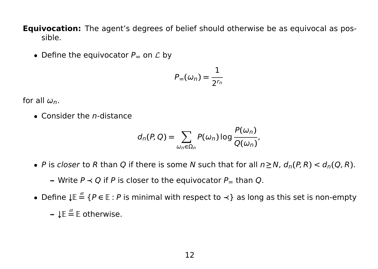- **Equivocation:** The agent's degrees of belief should otherwise be as equivocal as possible.
	- Define the equivocator  $P_+$  on  $\mathcal L$  by

$$
P_{=}(\omega_n)=\frac{1}{2^{r_n}}
$$

for all  $\omega_n$ .

 $\bullet$  Consider the *n*-distance

$$
d_n(P,Q) = \sum_{\omega_n \in \Omega_n} P(\omega_n) \log \frac{P(\omega_n)}{Q(\omega_n)},
$$

- P is closer to R than Q if there is some N such that for all  $n \ge N$ ,  $d_n(P, R) < d_n(Q, R)$ .
	- **−** Write  $P \prec Q$  if P is closer to the equivocator  $P_$  than  $Q$ .
- Define  $\downarrow \mathbb{E} \stackrel{\text{df}}{=} \{P \in \mathbb{E} : P \text{ is minimal with respect to } \prec \}$  as long as this set is non-empty **– ↓**E df **=** E otherwise.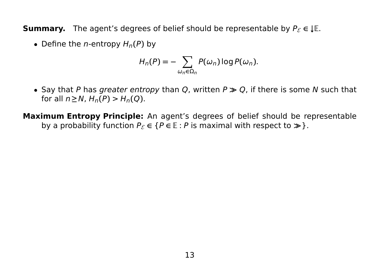**Summary.** The agent's degrees of belief should be representable by  $P_{\varepsilon} \in \downarrow \mathbb{E}$ .

• Define the *n*-entropy  $H_n(P)$  by

$$
H_n(P)=-\sum_{\omega_n\in\Omega_n}P(\omega_n)\log P(\omega_n).
$$

- Say that P has greater entropy than Q, written  $P \gg Q$ , if there is some N such that for all  $n \geq N$ ,  $H_n(P) > H_n(Q)$ .
- **Maximum Entropy Principle:** An agent's degrees of belief should be representable by a probability function  $P_{\mathcal{E}} \in \{P \in \mathbb{E} : P$  is maximal with respect to  $\gg$  }.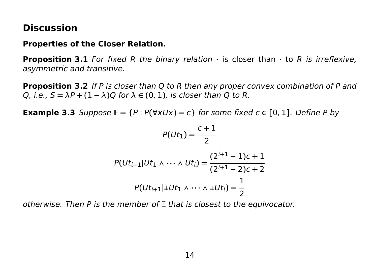### **Discussion**

#### **Properties of the Closer Relation.**

**Proposition 3.1** For fixed R the binary relation  $\cdot$  is closer than  $\cdot$  to R is irreflexive, asymmetric and transitive.

**Proposition 3.2** If P is closer than Q to R then any proper convex combination of P and  $Q$ , i.e.,  $S = \lambda P + (1 - \lambda)Q$  for  $\lambda \in (0, 1)$ , is closer than Q to R.

<span id="page-13-0"></span>**Example 3.3** Suppose  $E = \{P : P(\forall x \cup x) = c\}$  for some fixed  $c \in [0, 1]$ . Define P by

$$
P(Ut_1) = \frac{c+1}{2}
$$
  

$$
P(Ut_{i+1}|Ut_1 \wedge \cdots \wedge Ut_i) = \frac{(2^{i+1}-1)c+1}{(2^{i+1}-2)c+2}
$$
  

$$
P(Ut_{i+1}| \pm Ut_1 \wedge \cdots \wedge \pm Ut_i) = \frac{1}{2}
$$

otherwise. Then P is the member of E that is closest to the equivocator.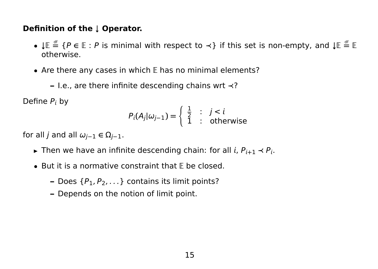#### **Definition of the ↓ Operator.**

- ↓E  $\stackrel{\text{df}}{=}$  {P  $\in$  E : P is minimal with respect to  $\prec$ } if this set is non-empty, and ↓E  $\stackrel{\text{df}}{=}$  E otherwise.
- Are there any cases in which E has no minimal elements?
	- **–** I.e., are there infinite descending chains wrt **≺**?

Define  $P_i$  by

$$
P_i(A_j|\omega_{j-1}) = \begin{cases} \frac{1}{2} & \text{: } j < i \\ 1 & \text{: } \text{ otherwise} \end{cases}
$$

for all *j* and all  $\omega_{j-1} \in \Omega_{j-1}$ .

- **►** Then we have an infinite descending chain: for all *i*,  $P_{i+1} \prec P_i$ .
- $\bullet$  But it is a normative constraint that  $E$  be closed.
	- **–** Does {P1, P2, . . .} contains its limit points?
	- **–** Depends on the notion of limit point.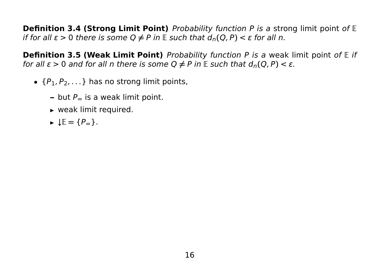**Definition 3.4 (Strong Limit Point)** Probability function P is a strong limit point of E if for all  $\epsilon > 0$  there is some  $Q \neq P$  in  $E$  such that  $d_n(Q, P) < \epsilon$  for all n.

**Definition 3.5 (Weak Limit Point)** Probability function P is a weak limit point of E if for all  $\epsilon > 0$  and for all n there is some  $Q \neq P$  in  $E$  such that  $d_n(Q, P) < \epsilon$ .

- $\bullet$  { $P_1, P_2, \ldots$ } has no strong limit points,
	- $-$  but  $P_$  is a weak limit point.
	- **É** weak limit required.
	- $\blacktriangleright$  LE = { $P_=$ }.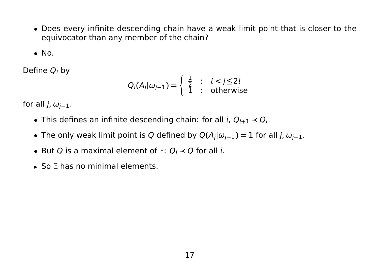- Does every infinite descending chain have a weak limit point that is closer to the equivocator than any member of the chain?
- $\bullet$  No.

Define  $Q_i$  by

$$
Q_i(A_j|\omega_{j-1}) = \begin{cases} \frac{1}{2} : & i < j \leq 2i \\ 1 : & \text{otherwise} \end{cases}
$$

for all j, ωj**−**1.

- **•** This defines an infinite descending chain: for all *i*,  $Q_{i+1} \prec Q_i$ .
- $\bullet$  The only weak limit point is Q defined by  $Q(A_j|ω_{j-1}) = 1$  for all j,  $ω_{j-1}$ .
- But Q is a maximal element of  $E: Q_i \prec Q$  for all *i*.
- ► So **E** has no minimal elements.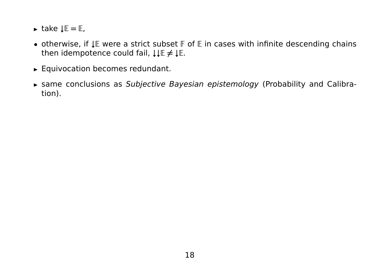- ► take  $\downarrow \mathbb{E} = \mathbb{E}$ ,
- otherwise, if **↓**E were a strict subset F of E in cases with infinite descending chains then idempotence could fail, **↓↓**E **6= ↓**E.
- **É** Equivocation becomes redundant.
- **E** same conclusions as Subjective Bayesian epistemology (Probability and Calibration).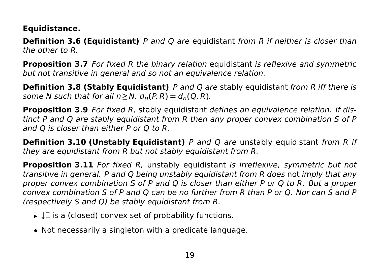#### **Equidistance.**

**Definition 3.6 (Equidistant)** P and Q are equidistant from R if neither is closer than the other to R.

**Proposition 3.7** For fixed R the binary relation equidistant is reflexive and symmetric but not transitive in general and so not an equivalence relation.

**Definition 3.8 (Stably Equidistant)** P and O are stably equidistant from R iff there is some N such that for all  $n > N$ ,  $d_n(P, R) = d_n(Q, R)$ .

**Proposition 3.9** For fixed R, stably equidistant defines an equivalence relation. If distinct P and Q are stably equidistant from R then any proper convex combination S of P and Q is closer than either P or Q to R.

**Definition 3.10 (Unstably Equidistant)** P and Q are unstably equidistant from R if they are equidistant from R but not stably equidistant from R.

<span id="page-18-0"></span>**Proposition 3.11** For fixed R, unstably equidistant is irreflexive, symmetric but not transitive in general. P and Q being unstably equidistant from R does not imply that any proper convex combination S of P and Q is closer than either P or Q to R. But a proper convex combination S of P and Q can be no further from R than P or Q. Nor can S and P (respectively S and Q) be stably equidistant from R.

- **<sup>É</sup> ↓**E is a (closed) convex set of probability functions.
- Not necessarily a singleton with a predicate language.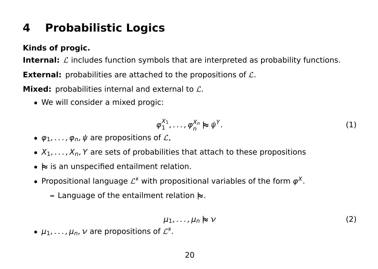## <span id="page-19-0"></span>**4 Probabilistic Logics**

**Kinds of progic.**

**Internal:**  $\mathcal{L}$  includes function symbols that are interpreted as probability functions.

**External:** probabilities are attached to the propositions of  $\mathcal{L}$ .

**Mixed:** probabilities internal and external to  $\mathcal{L}$ .

We will consider a mixed progic:

$$
\varphi_1^{X_1}, \ldots, \varphi_n^{X_n} \approx \psi^Y. \tag{1}
$$

- $\bullet$   $\varphi_1, \ldots, \varphi_n, \psi$  are propositions of  $\mathcal{L}$ ,
- $\bullet$   $X_1, \ldots, X_n$ , Y are sets of probabilities that attach to these propositions
- **|≈** is an unspecified entailment relation.
- Propositional language  $\mathcal{L}^*$  with propositional variables of the form  $\varphi^{\chi}$ .
	- **–** Language of the entailment relation **|≈**.

$$
\mu_1, \ldots, \mu_n \approx \nu \tag{2}
$$

•  $\mu_1, \ldots, \mu_n$ ,  $\nu$  are propositions of  $\mathcal{L}^*$ .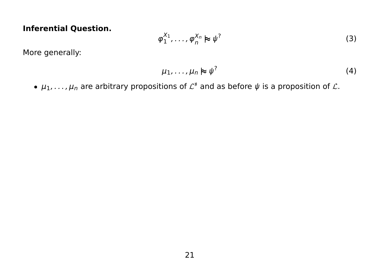#### **Inferential Question.**

$$
\varphi_1^{X_1}, \ldots, \varphi_n^{X_n} \approx \psi^?
$$
 (3)

More generally:

$$
\mu_1,\ldots,\mu_n \approx \psi^?
$$
 (4)

•  $\mu_1, \ldots, \mu_n$  are arbitrary propositions of  $\mathcal{L}^*$  and as before  $\psi$  is a proposition of  $\mathcal{L}$ .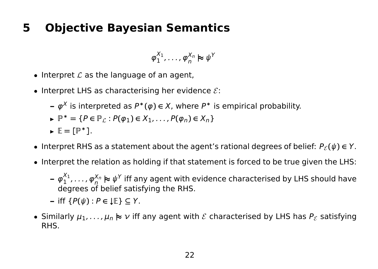# <span id="page-21-0"></span>**5 Objective Bayesian Semantics**

$$
\varphi_1^{X_1},\ldots,\varphi_n^{X_n}\succcurlyeq\psi^Y
$$

- Interpret  $\mathcal L$  as the language of an agent,
- $\bullet$  Interpret LHS as characterising her evidence  $\mathcal{E}$ :
	- **–** φ <sup>X</sup> is interpreted as P <sup>∗</sup>**(**φ**) <sup>∈</sup>** <sup>X</sup>, where <sup>P</sup> <sup>∗</sup> is empirical probability.
	- ►  $\mathbb{P}^* = \{ P \in \mathbb{P}_L : P(\varphi_1) \in X_1, \ldots, P(\varphi_n) \in X_n \}$
	- **<sup>É</sup>** E **= [**P ∗**]**.
- **•** Interpret RHS as a statement about the agent's rational degrees of belief:  $P_{\mathcal{E}}(\psi) \in Y$ .
- Interpret the relation as holding if that statement is forced to be true given the LHS:
	- $\varphi_1^{X_1}$  $\phi_1^{\chi_1}, \ldots, \phi_n^{\chi_n} \approx \psi^Y$  iff any agent with evidence characterised by LHS should have degrees of belief satisfying the RHS.
	- **–** iff {P**(**ψ**)** : P **∈ ↓**E} **⊆** Y.
- Similarly  $\mu_1, \ldots, \mu_n \approx \nu$  iff any agent with  $\mathcal E$  characterised by LHS has  $P_{\mathcal E}$  satisfying RHS.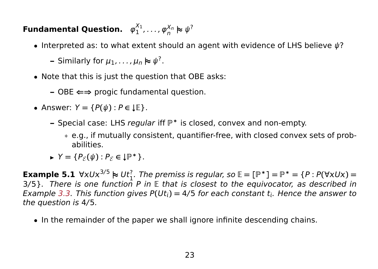#### **Fundamental Question.**  $\varphi_1^{X_1}$  $\begin{aligned} \gamma_1^{\chi_1}, \ldots, \varphi_n^{\chi_n} \models \psi^2 \end{aligned}$

- Interpreted as: to what extent should an agent with evidence of LHS believe  $\psi$ ?
	- **–** Similarly for  $\mu_1, \ldots, \mu_n \approx \psi^?$ .
- Note that this is just the question that OBE asks:
	- **–** OBE **⇐⇒** progic fundamental question.
- Answer:  $Y = \{P(\psi) : P \in \downarrow \mathbb{E}\}.$ 
	- **–** Special case: LHS regular iff P <sup>∗</sup> is closed, convex and non-empty.
		- $*$  e.g., if mutually consistent, quantifier-free, with closed convex sets of probabilities.
	- ►  $Y = \{P_{\mathcal{E}}(\psi) : P_{\mathcal{E}} \in \downarrow \mathbb{P}^* \}.$

**Example 5.1**  $\forall xUx^{3/5} \approx Ut_1^2$ . The premiss is regular, so  $E = [P^*] = P^* = \{P : P(\forall xUx) = ... \}$  $3/5$ }. There is one function P in  $E$  that is closest to the equivocator, as described in Example [3.3.](#page-13-0) This function gives  $P(Ut_i) = 4/5$  for each constant  $t_i$ . Hence the answer to the question is 4/5.

• In the remainder of the paper we shall ignore infinite descending chains.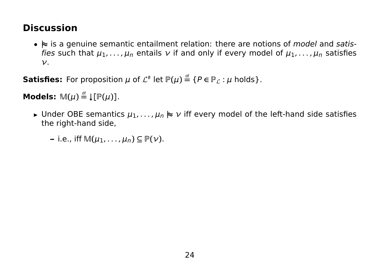### **Discussion**

 **|≈** is a genuine semantic entailment relation: there are notions of model and satisfies such that  $\mu_1, \ldots, \mu_n$  entails  $\nu$  if and only if every model of  $\mu_1, \ldots, \mu_n$  satisfies ν.

**Satisfies:** For proposition  $\mu$  of  $\mathcal{L}^*$  let  $\mathbb{P}(\mu) \stackrel{\text{df}}{=} \{P \in \mathbb{P}_{\mathcal{L}} : \mu \text{ holds}\}.$ 

**Models:**  $\mathbb{M}(\mu) \stackrel{\text{df}}{=} \downarrow [\mathbb{P}(\mu)].$ 

- **E** Under OBE semantics  $μ_1, ..., μ_n$   $\approx$  ν iff every model of the left-hand side satisfies the right-hand side,
	- $\vdash$  i.e., iff  $\mathbb{M}(\mu_1, \ldots, \mu_n) \subseteq \mathbb{P}(\nu)$ .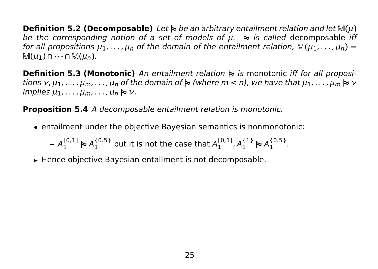**Definition 5.2 (Decomposable)** Let **|≈** be an arbitrary entailment relation and let M**(**μ**)** be the corresponding notion of a set of models of μ. **|≈** is called decomposable iff for all propositions  $\mu_1, \ldots, \mu_n$  of the domain of the entailment relation,  $\mathbb{M}(\mu_1, \ldots, \mu_n)$  =  $M(\mu_1) \cap \cdots \cap M(\mu_n)$ .

**Definition 5.3 (Monotonic)** An entailment relation  $\approx$  is monotonic iff for all propositions ν, μ1, . . . , μm, . . . , μ<sup>n</sup> of the domain of **|≈** (where m < n), we have that μ1, . . . , μ<sup>m</sup> **|≈** ν implies μ1, . . . , μm, . . . , μ<sup>n</sup> **|≈** ν.

**Proposition 5.4** A decomposable entailment relation is monotonic.

entailment under the objective Bayesian semantics is nonmonotonic:

$$
- A_1^{[0,1]} \approx A_1^{\{0.5\}} \text{ but it is not the case that } A_1^{[0,1]}, A_1^{\{1\}} \approx A_1^{\{0.5\}}.
$$

**É** Hence objective Bayesian entailment is not decomposable.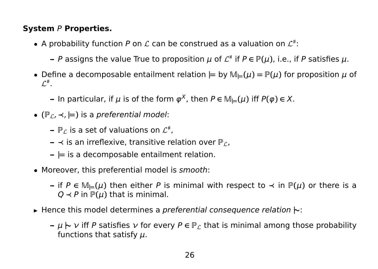#### **System** P **Properties.**

- A probability function P on L can be construed as a valuation on  $\mathcal{L}^*$ :
	- $\textsf{P}\textsf{A}$  assigns the value True to proposition  $\mu$  of  $\mathcal{L}^\sharp$  if  $P\in \mathbb{P}(\mu)$ , i.e., if  $P$  satisfies  $\mu.$
- **•** Define a decomposable entailment relation  $\models$  by  $\mathbb{M}_{\models}(\mu) = \mathbb{P}(\mu)$  for proposition  $\mu$  of  $\mathcal{L}^{\text{\tt\#}}.$ 
	- **–** In particular, if  $\mu$  is of the form  $\varphi^X$ , then  $P \in \mathbb{M}_{\models}(\mu)$  iff  $P(\varphi) \in X$ .
- **(**PL, **≺**, **|=)** is a preferential model:
	- $\mathbb{P}_{\mathcal{L}}$  is a set of valuations on  $\mathcal{L}^{\sharp},$
	- **−**  $\prec$  is an irreflexive, transitive relation over  $P_c$ ,
	- **– |=** is a decomposable entailment relation.
- Moreover, this preferential model is smooth:
	- **−** if  $P \in M<sub>⊫</sub>(\mu)$  then either P is minimal with respect to  $\prec$  in  $\mathbb{P}(\mu)$  or there is a  $Q \prec P$  in  $P(\mu)$  that is minimal.
- **<sup>É</sup>** Hence this model determines a preferential consequence relation **|∼**:
	- **–** μ **|∼** ν iff P satisfies ν for every P **∈** P<sup>L</sup> that is minimal among those probability functions that satisfy  $\mu$ .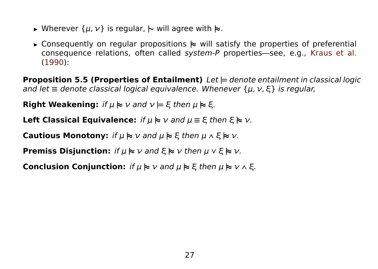- **<sup>É</sup>** Wherever {μ, ν} is regular, **|∼** will agree with **|≈**.
- **E** Consequently on regular propositions  $\approx$  will satisfy the properties of preferential consequence relations, often called system-P properties—see, e.g., [Kraus et al.](#page-41-7) [\(1990\)](#page-41-7):

**Proposition 5.5 (Properties of Entailment)** Let **|=** denote entailment in classical logic and let **≡** denote classical logical equivalence. Whenever {μ, ν, ξ} is regular,

**Right Weakening:** if  $\mu \approx \nu$  and  $\nu \models \xi$  then  $\mu \approx \xi$ .

**Left Classical Equivalence:** if  $\mu \approx \nu$  and  $\mu \equiv \xi$  then  $\xi \approx \nu$ .

**Cautious Monotony:** if μ **|≈** ν and μ **|≈** ξ then μ ∧ ξ **|≈** ν.

**Premiss Disjunction:** if μ **|≈** ν and ξ **|≈** ν then μ ∨ ξ **|≈** ν.

**Conclusion Conjunction:** if μ **|≈** ν and μ **|≈** ξ then μ **|≈** ν ∧ ξ.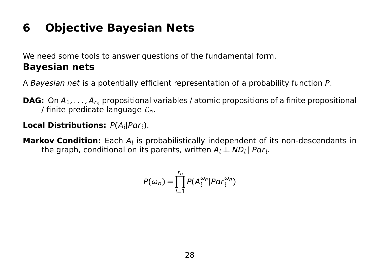# <span id="page-27-0"></span>**6 Objective Bayesian Nets**

We need some tools to answer questions of the fundamental form. **Bayesian nets**

A Bayesian net is a potentially efficient representation of a probability function P.

**DAG:** On  $A_1, \ldots, A_{r_n}$  propositional variables / atomic propositions of a finite propositional / finite predicate language  $\mathcal{L}_n$ .

Local Distributions:  $P(A_i|Par_i)$ .

Markov Condition: Each A<sub>i</sub> is probabilistically independent of its non-descendants in the graph, conditional on its parents, written  $A_i \perp N D_i$  | Par<sub>i</sub>.

$$
P(\omega_n) = \prod_{i=1}^{r_n} P(A_i^{\omega_n} | Par_i^{\omega_n})
$$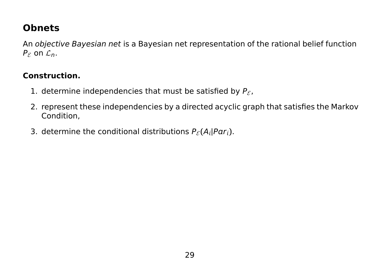### **Obnets**

An objective Bayesian net is a Bayesian net representation of the rational belief function  $P_{\mathcal{E}}$  on  $\mathcal{L}_n$ .

#### **Construction.**

- 1. determine independencies that must be satisfied by  $P_{\epsilon}$ ,
- 2. represent these independencies by a directed acyclic graph that satisfies the Markov Condition,
- 3. determine the conditional distributions  $P_{\mathcal{E}}(A_i|Par_i)$ .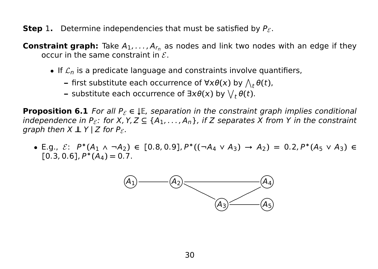**Step 1.** Determine independencies that must be satisfied by  $P_{\epsilon}$ .

**Constraint graph:** Take  $A_1, \ldots, A_r$  as nodes and link two nodes with an edge if they occur in the same constraint in  $\mathcal{E}$ .

- If  $\mathcal{L}_n$  is a predicate language and constraints involve quantifiers,
	- $\vdash$  first substitute each occurrence of  $\forall x \theta(x)$  by  $\bigwedge_t \theta(t)$ ,
	- $\sim$  substitute each occurrence of  $\exists x \theta(x)$  by  $\bigvee_t \theta(t).$

<span id="page-29-0"></span>**Proposition 6.1** For all  $P_{\mathcal{E}} \in \{\mathbb{E},\}$  separation in the constraint graph implies conditional independence in P<sub>ε</sub>: for X, Y, Z  $\subseteq$  {A<sub>1</sub>, ..., A<sub>n</sub>}, if Z separates X from Y in the constraint graph then  $X \perp Y \mid Z$  for  $P_{\mathcal{E}}$ .

 E.g., E: P <sup>∗</sup>**(**A<sup>1</sup> ∧ ¬A2**) <sup>∈</sup> [**0.8, <sup>0</sup>.9**]**, P∗**((**¬A<sup>4</sup> <sup>∨</sup> <sup>A</sup>3**) <sup>→</sup>** <sup>A</sup>2**) =** <sup>0</sup>.2, P∗**(**A<sup>5</sup> <sup>∨</sup> <sup>A</sup>3**) <sup>∈</sup>**  $[0.3, 0.6]$ ,  $P^*(A_4) = 0.7$ .

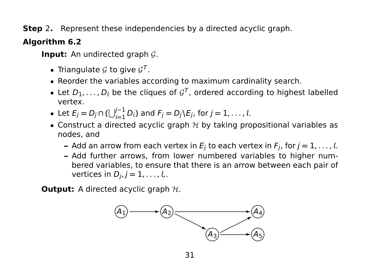**Step** 2**.** Represent these independencies by a directed acyclic graph.

#### **Algorithm 6.2**

**Input:** An undirected graph G.

- Triangulate  $\mathcal G$  to give  $\mathcal G^{\mathcal T}.$
- Reorder the variables according to maximum cardinality search.
- Let  $D_1, \ldots, D_l$  be the cliques of  $\mathcal{G}^{\mathcal{T}}$ , ordered according to highest labelled vertex.
- Let  $E_j = D_j \cap (\bigcup_{i=1}^{j-1}$  $\sum_{i=1}^{j-1} D_i$  and  $F_j = D_j \backslash E_j$ , for  $j = 1, ..., l$ .
- Construct a directed acyclic graph  $H$  by taking propositional variables as nodes, and
	- **–** Add an arrow from each vertex in  $E_i$  to each vertex in  $F_i$ , for  $j = 1, \ldots, l$ .
	- **–** Add further arrows, from lower numbered variables to higher numbered variables, to ensure that there is an arrow between each pair of vertices in  $D_i$ ,  $j = 1, \ldots, l$ ,.

**Output:** A directed acyclic graph  $H$ .

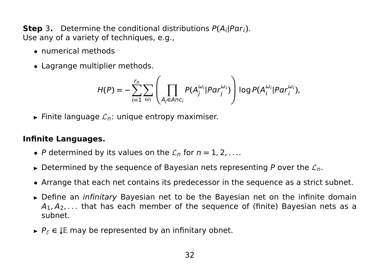**Step** 3. Determine the conditional distributions  $P(A_i|Par_i)$ . Use any of a variety of techniques, e.g.,

- numerical methods
- Lagrange multiplier methods.

$$
H(P) = -\sum_{i=1}^{r_n} \sum_{\omega_i} \left( \prod_{A_j \in \text{anc}_i} P(A_j^{\omega_i} | \text{Par}_j^{\omega_i}) \right) \log P(A_i^{\omega_i} | \text{Par}_i^{\omega_i}),
$$

 $\blacktriangleright$  Finite language  $\mathcal{L}_n$ : unique entropy maximiser.

#### **Infinite Languages.**

- P determined by its values on the  $\mathcal{L}_n$  for  $n = 1, 2, \ldots$ .
- $\triangleright$  Determined by the sequence of Bayesian nets representing P over the  $\mathcal{L}_n$ .
- Arrange that each net contains its predecessor in the sequence as a strict subnet.
- **E** Define an *infinitary* Bayesian net to be the Bayesian net on the infinite domain  $A_1, A_2, \ldots$  that has each member of the sequence of (finite) Bayesian nets as a subnet.
- $\blacktriangleright$   $P_{\epsilon} \in \mathcal{F}$  may be represented by an infinitary obnet.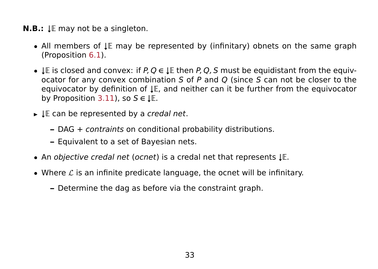- **N.B.: ↓**E may not be a singleton.
	- All members of **↓**E may be represented by (infinitary) obnets on the same graph (Proposition [6.1\)](#page-29-0).
	- **↓**E is closed and convex: if P, Q **∈ ↓**E then P, Q, S must be equidistant from the equivocator for any convex combination S of P and Q (since S can not be closer to the equivocator by definition of **↓**E, and neither can it be further from the equivocator by Proposition  $3.11$ ), so  $S \in \mathcal{I} \mathbb{E}$ .
	- **<sup>É</sup> ↓**E can be represented by a credal net.
		- **–** DAG + contraints on conditional probability distributions.
		- **–** Equivalent to a set of Bayesian nets.
	- An objective credal net (ocnet) is a credal net that represents **↓**E.
	- Where  $\mathcal L$  is an infinite predicate language, the ocnet will be infinitary.
		- **–** Determine the dag as before via the constraint graph.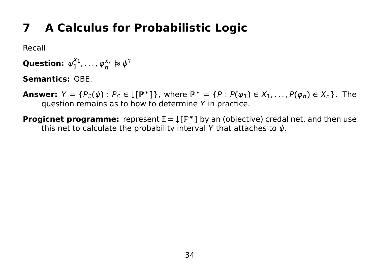## <span id="page-33-0"></span>**7 A Calculus for Probabilistic Logic**

Recall

**Question:**  $\varphi_1^{X_1}$  $\begin{aligned} \mathbf{y}_1^{\mathbf{y}_1}, \ldots, \mathbf{\varphi}_n^{\mathbf{y}_n} &\approx \mathbf{\psi}^2. \end{aligned}$ 

**Semantics:** OBE.

- **Answer:**  $Y = \{P_{\mathcal{E}}(\psi) : P_{\mathcal{E}} \in L[\mathbb{P}^*]\},\$  where  $\mathbb{P}^* = \{P : P(\varphi_1) \in X_1, \ldots, P(\varphi_n) \in X_n\}.$  The question remains as to how to determine Y in practice.
- **Progicnet programme:** represent  $E = \downarrow [P^*]$  by an (objective) credal net, and then use this net to calculate the probability interval Y that attaches to  $\psi$ .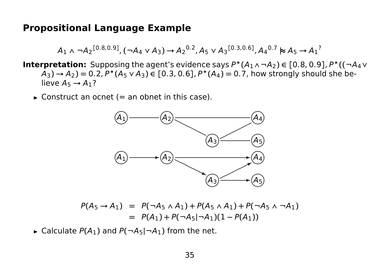#### **Propositional Language Example**

$$
A_1 \wedge \neg A_2^{[0.8,0.9]}, (\neg A_4 \vee A_3) \rightarrow A_2^{0.2}, A_5 \vee A_3^{[0.3,0.6]}, A_4^{0.7} \approx A_5 \rightarrow A_1^?
$$

**Interpretation:** Supposing the agent's evidence says  $P^*(A_1 \land \neg A_2) \in [0.8, 0.9]$ ,  $P^*((\neg A_4 \lor \neg A_5) \land \neg A_6)$  $A_3$ ) →  $A_2$ ) = 0.2,  $P^*(A_5 \vee A_3)$  ∈ [0.3, 0.6],  $P^*(A_4)$  = 0.7, how strongly should she believe  $A_5 \rightarrow A_1$ ?

► Construct an ocnet (= an obnet in this case).



$$
P(A_5 \to A_1) = P(\neg A_5 \land A_1) + P(A_5 \land A_1) + P(\neg A_5 \land \neg A_1)
$$
  
=  $P(A_1) + P(\neg A_5 | \neg A_1)(1 - P(A_1))$ 

► Calculate  $P(A_1)$  and  $P(\neg A_5|\neg A_1)$  from the net.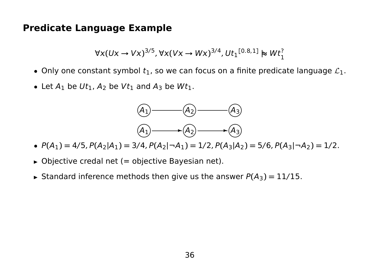### **Predicate Language Example**

$$
\forall x (Ux \to Vx)^{3/5}, \forall x (Vx \to Wx)^{3/4}, Ut_1^{[0.8,1]} \approx Wt_1^?
$$

- $\bullet$  Only one constant symbol  $t_1$ , so we can focus on a finite predicate language  $\mathcal{L}_1$ .
- Let  $A_1$  be  $Ut_1$ ,  $A_2$  be  $Vt_1$  and  $A_3$  be  $Wt_1$ .



- $P(A_1) = 4/5$ ,  $P(A_2|A_1) = 3/4$ ,  $P(A_2|\neg A_1) = 1/2$ ,  $P(A_3|A_2) = 5/6$ ,  $P(A_3|\neg A_2) = 1/2$ .
- ► Objective credal net (= objective Bayesian net).
- **E** Standard inference methods then give us the answer  $P(A_3) = 11/15$ .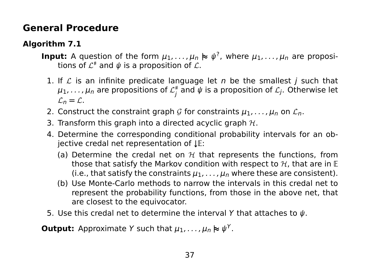### **General Procedure**

#### **Algorithm 7.1**

- **Input:** A question of the form  $\mu_1, \ldots, \mu_n \approx \psi^2$ , where  $\mu_1, \ldots, \mu_n$  are propositions of  $\mathcal{L}^*$  and  $\psi$  is a proposition of  $\mathcal{L}.$ 
	- 1. If  $\mathcal L$  is an infinite predicate language let n be the smallest *j* such that  $\mu_1, \ldots, \mu_n$  are propositions of  $\mathcal{L}^{\sharp}_i$  $_j^\ast$  and  $\psi$  is a proposition of  $\mathcal{L}_j$ . Otherwise let  $\mathcal{L}_n = \mathcal{L}.$
	- 2. Construct the constraint graph G for constraints  $\mu_1, \ldots, \mu_n$  on  $\mathcal{L}_n$ .
	- 3. Transform this graph into a directed acyclic graph  $H$ .
	- 4. Determine the corresponding conditional probability intervals for an objective credal net representation of **↓**E:
		- (a) Determine the credal net on  $H$  that represents the functions, from those that satisfy the Markov condition with respect to  $H$ , that are in  $E$ (i.e., that satisfy the constraints  $\mu_1, \ldots, \mu_n$  where these are consistent).
		- (b) Use Monte-Carlo methods to narrow the intervals in this credal net to represent the probability functions, from those in the above net, that are closest to the equivocator.
	- 5. Use this credal net to determine the interval Y that attaches to  $\psi$ .

**Output:** Approximate Y such that  $\mu_1, \ldots, \mu_n \approx \psi^Y$ .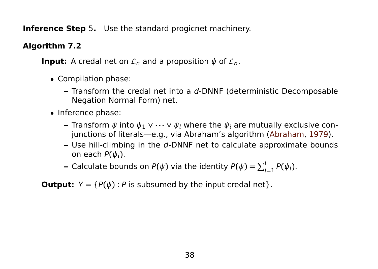**Inference Step** 5. Use the standard progicnet machinery.

#### **Algorithm 7.2**

**Input:** A credal net on  $\mathcal{L}_n$  and a proposition  $\psi$  of  $\mathcal{L}_n$ .

- Compilation phase:
	- **–** Transform the credal net into a d-DNNF (deterministic Decomposable Negation Normal Form) net.
- Inference phase:
	- **–** Transform ψ into ψ<sub>1</sub> ∨ · · · ∨ ψ<sub>l</sub> where the ψ<sub>i</sub> are mutually exclusive conjunctions of literals—e.g., via Abraham's algorithm [\(Abraham,](#page-41-8) [1979\)](#page-41-8).
	- **–** Use hill-climbing in the d-DNNF net to calculate approximate bounds on each P**(**ψ**)**.

**–** Calculate bounds on  $P(\psi)$  via the identity  $P(\psi) = \sum_{i=1}^{l} P(\psi_i)$ .

**Output:**  $Y = \{P(\psi) : P \text{ is subsumed by the input credal net}\}.$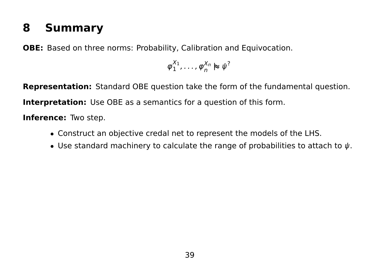## <span id="page-38-0"></span>**8 Summary**

**OBE:** Based on three norms: Probability, Calibration and Equivocation.

 $\varphi_1^{X_1}$  $\begin{aligned} \mathbf{y}_1^{\mathsf{X}_1}, \ldots, \boldsymbol{\varphi}_n^{\mathsf{X}_n} &\approx \boldsymbol{\psi}^2 \end{aligned}$ 

**Representation:** Standard OBE question take the form of the fundamental question. **Interpretation:** Use OBE as a semantics for a question of this form.

**Inference:** Two step.

- Construct an objective credal net to represent the models of the LHS.
- Use standard machinery to calculate the range of probabilities to attach to  $\psi$ .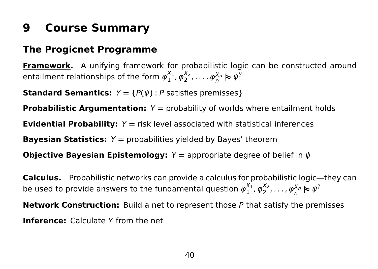# <span id="page-39-0"></span>**9 Course Summary**

### **The Progicnet Programme**

**Framework.** A unifying framework for probabilistic logic can be constructed around entailment relationships of the form  $\varphi_1^{X_1}$  $\begin{aligned} \n\chi_1, \varphi_2^{\chi_2}, \ldots, \varphi_n^{\chi_n} \approx \psi^{\gamma} \n\end{aligned}$ 

**Standard Semantics:**  $Y = {P(\psi):P}$  satisfies premisses}

**Probabilistic Argumentation:**  $Y =$  probability of worlds where entailment holds

**Evidential Probability:**  $Y =$  risk level associated with statistical inferences

**Bayesian Statistics:** Y **=** probabilities yielded by Bayes' theorem

**Objective Bayesian Epistemology:**  $Y =$  appropriate degree of belief in  $\psi$ 

**Calculus.** Probabilistic networks can provide a calculus for probabilistic logic—they can be used to provide answers to the fundamental question  $\varphi_1^{X_1}$  $\begin{aligned} \n\chi_1, \varphi_2^{\chi_2}, \dots, \varphi_n^{\chi_n} \approx \psi^2\n\end{aligned}$ 

**Network Construction:** Build a net to represent those P that satisfy the premisses **Inference:** Calculate Y from the net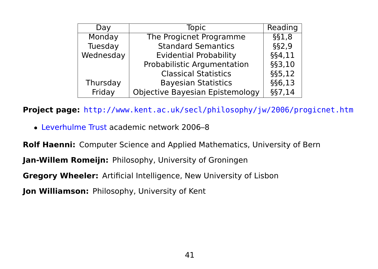| Day       | Topic                           | Reading |
|-----------|---------------------------------|---------|
| Monday    | The Progicnet Programme         | §§1,8   |
| Tuesday   | <b>Standard Semantics</b>       | §§2,9   |
| Wednesday | <b>Evidential Probability</b>   | §§4,11  |
|           | Probabilistic Argumentation     | §§3,10  |
|           | <b>Classical Statistics</b>     | §§5,12  |
| Thursday  | <b>Bayesian Statistics</b>      | §§6,13  |
| Friday    | Objective Bayesian Epistemology | §§7,14  |

**Project page:** <http://www.kent.ac.uk/secl/philosophy/jw/2006/progicnet.htm>

[Leverhulme Trust](http://www.leverhulme.ac.uk/) academic network 2006–8

**Rolf Haenni:** Computer Science and Applied Mathematics, University of Bern

**Jan-Willem Romeijn:** Philosophy, University of Groningen

**Gregory Wheeler:** Artificial Intelligence, New University of Lisbon

**Jon Williamson:** Philosophy, University of Kent